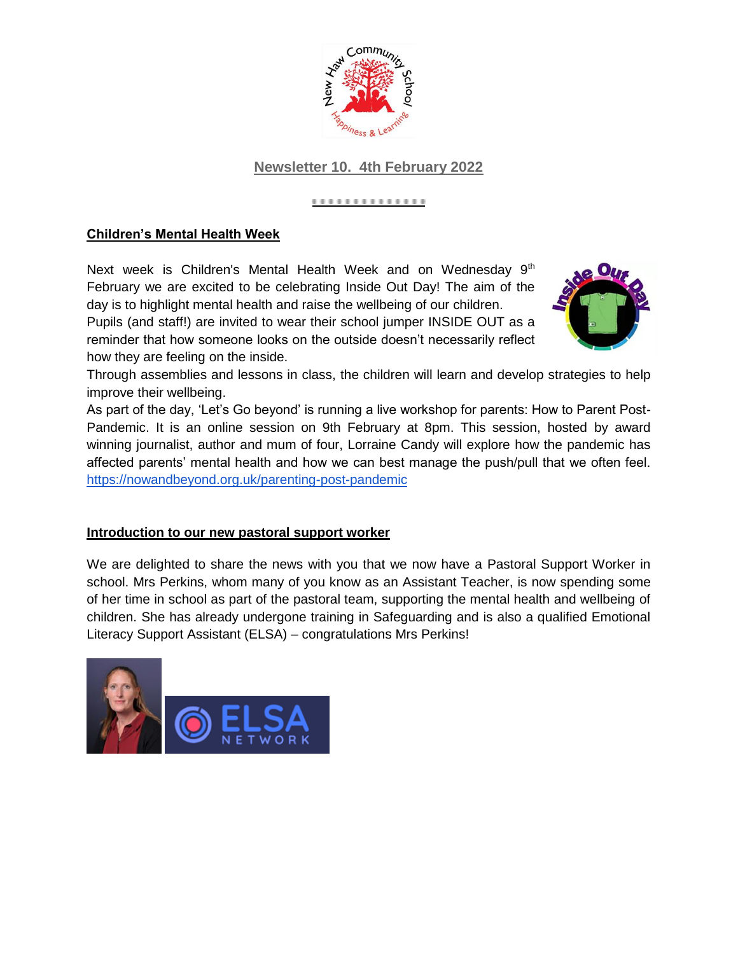

## **Newsletter 10. 4th February 2022**

#### ..............

### **Children's Mental Health Week**

Next week is Children's Mental Health Week and on Wednesday 9<sup>th</sup> February we are excited to be celebrating Inside Out Day! The aim of the day is to highlight mental health and raise the wellbeing of our children. Pupils (and staff!) are invited to wear their school jumper INSIDE OUT as a reminder that how someone looks on the outside doesn't necessarily reflect how they are feeling on the inside.



Through assemblies and lessons in class, the children will learn and develop strategies to help improve their wellbeing.

As part of the day, 'Let's Go beyond' is running a live workshop for parents: How to Parent Post-Pandemic. It is an online session on 9th February at 8pm. This session, hosted by award winning journalist, author and mum of four, Lorraine Candy will explore how the pandemic has affected parents' mental health and how we can best manage the push/pull that we often feel[.](https://nowandbeyond.org.uk/parenting-post-pandemic) <https://nowandbeyond.org.uk/parenting-post-pandemic>

#### **Introduction to our new pastoral support worker**

We are delighted to share the news with you that we now have a Pastoral Support Worker in school. Mrs Perkins, whom many of you know as an Assistant Teacher, is now spending some of her time in school as part of the pastoral team, supporting the mental health and wellbeing of children. She has already undergone training in Safeguarding and is also a qualified Emotional Literacy Support Assistant (ELSA) – congratulations Mrs Perkins!

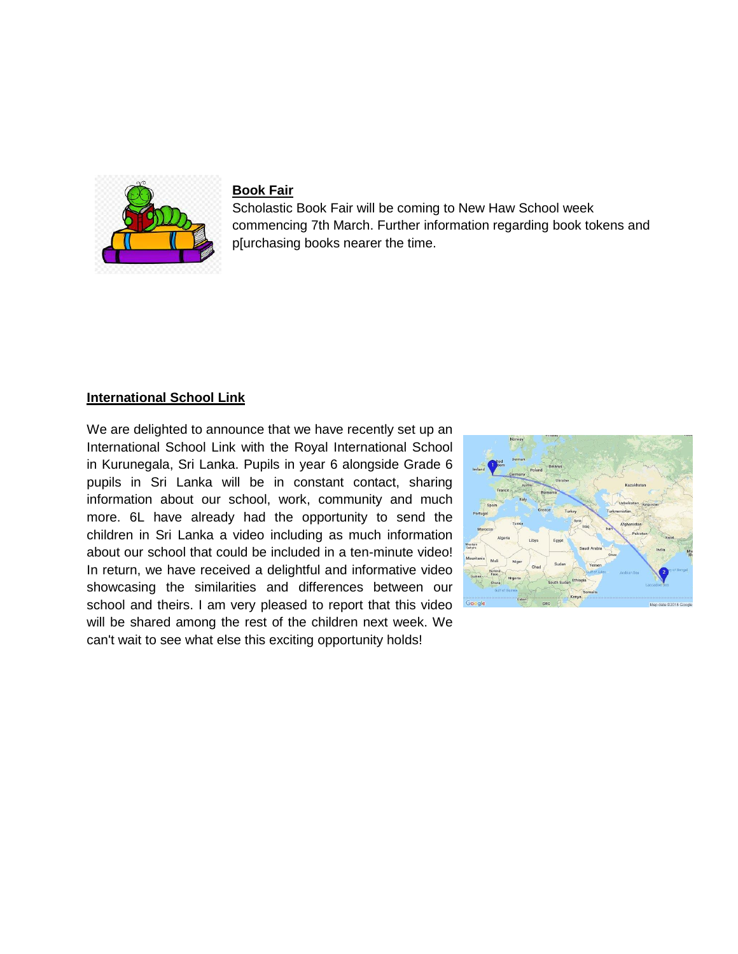

#### **Book Fair**

Scholastic Book Fair will be coming to New Haw School week commencing 7th March. Further information regarding book tokens and p[urchasing books nearer the time.

#### **International School Link**

We are delighted to announce that we have recently set up an International School Link with the Royal International School in Kurunegala, Sri Lanka. Pupils in year 6 alongside Grade 6 pupils in Sri Lanka will be in constant contact, sharing information about our school, work, community and much more. 6L have already had the opportunity to send the children in Sri Lanka a video including as much information about our school that could be included in a ten-minute video! In return, we have received a delightful and informative video showcasing the similarities and differences between our school and theirs. I am very pleased to report that this video will be shared among the rest of the children next week. We can't wait to see what else this exciting opportunity holds!